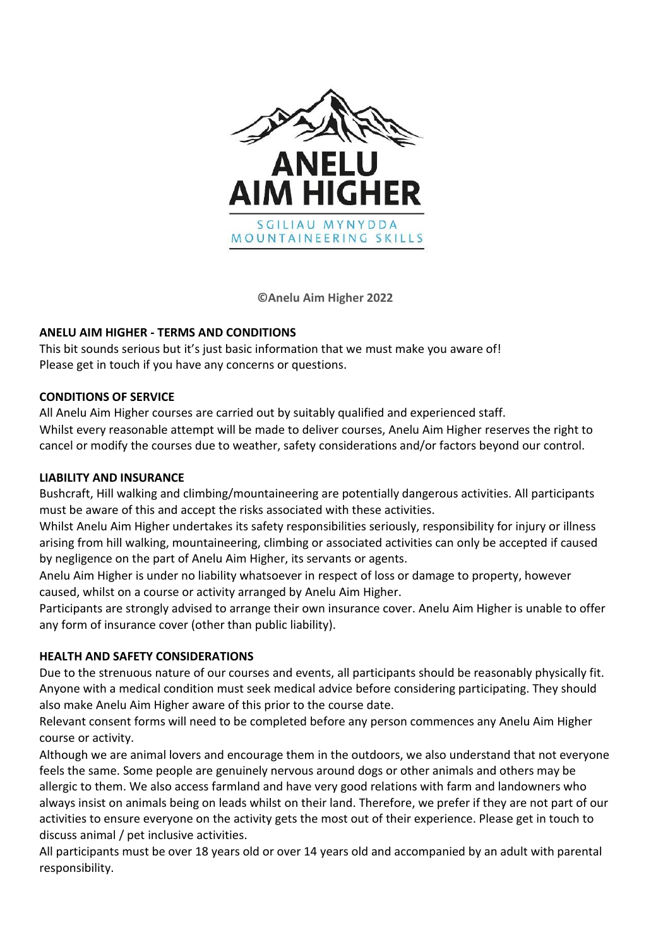

**©Anelu Aim Higher 2022**

## **ANELU AIM HIGHER - TERMS AND CONDITIONS**

This bit sounds serious but it's just basic information that we must make you aware of! Please get in touch if you have any concerns or questions.

## **CONDITIONS OF SERVICE**

All Anelu Aim Higher courses are carried out by suitably qualified and experienced staff. Whilst every reasonable attempt will be made to deliver courses, Anelu Aim Higher reserves the right to cancel or modify the courses due to weather, safety considerations and/or factors beyond our control.

# **LIABILITY AND INSURANCE**

Bushcraft, Hill walking and climbing/mountaineering are potentially dangerous activities. All participants must be aware of this and accept the risks associated with these activities.

Whilst Anelu Aim Higher undertakes its safety responsibilities seriously, responsibility for injury or illness arising from hill walking, mountaineering, climbing or associated activities can only be accepted if caused by negligence on the part of Anelu Aim Higher, its servants or agents.

Anelu Aim Higher is under no liability whatsoever in respect of loss or damage to property, however caused, whilst on a course or activity arranged by Anelu Aim Higher.

Participants are strongly advised to arrange their own insurance cover. Anelu Aim Higher is unable to offer any form of insurance cover (other than public liability).

## **HEALTH AND SAFETY CONSIDERATIONS**

Due to the strenuous nature of our courses and events, all participants should be reasonably physically fit. Anyone with a medical condition must seek medical advice before considering participating. They should also make Anelu Aim Higher aware of this prior to the course date.

Relevant consent forms will need to be completed before any person commences any Anelu Aim Higher course or activity.

Although we are animal lovers and encourage them in the outdoors, we also understand that not everyone feels the same. Some people are genuinely nervous around dogs or other animals and others may be allergic to them. We also access farmland and have very good relations with farm and landowners who always insist on animals being on leads whilst on their land. Therefore, we prefer if they are not part of our activities to ensure everyone on the activity gets the most out of their experience. Please get in touch to discuss animal / pet inclusive activities.

All participants must be over 18 years old or over 14 years old and accompanied by an adult with parental responsibility.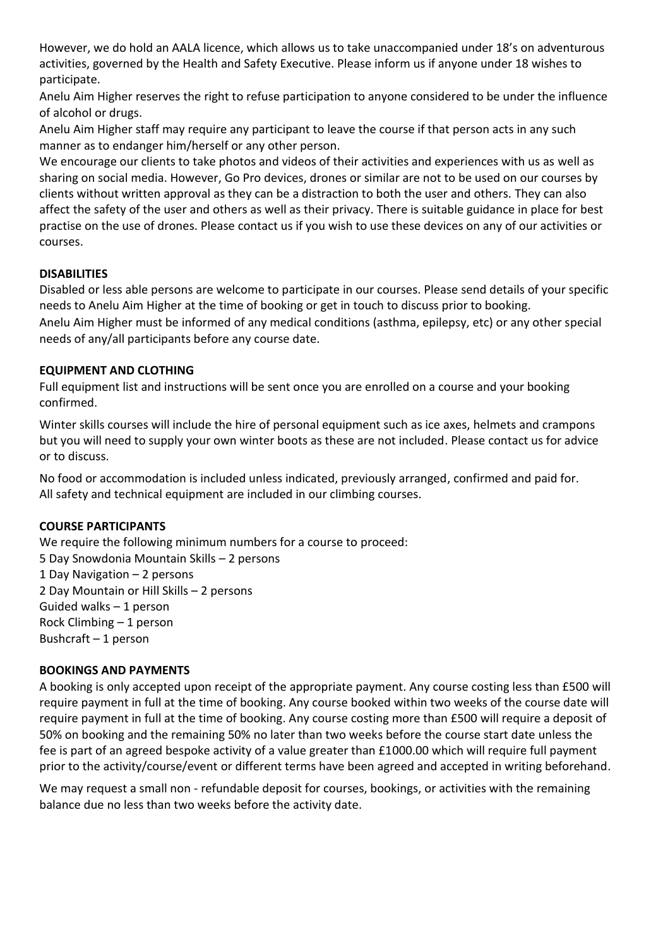However, we do hold an AALA licence, which allows us to take unaccompanied under 18's on adventurous activities, governed by the Health and Safety Executive. Please inform us if anyone under 18 wishes to participate.

Anelu Aim Higher reserves the right to refuse participation to anyone considered to be under the influence of alcohol or drugs.

Anelu Aim Higher staff may require any participant to leave the course if that person acts in any such manner as to endanger him/herself or any other person.

We encourage our clients to take photos and videos of their activities and experiences with us as well as sharing on social media. However, Go Pro devices, drones or similar are not to be used on our courses by clients without written approval as they can be a distraction to both the user and others. They can also affect the safety of the user and others as well as their privacy. There is suitable guidance in place for best practise on the use of drones. Please contact us if you wish to use these devices on any of our activities or courses.

## **DISABILITIES**

Disabled or less able persons are welcome to participate in our courses. Please send details of your specific needs to Anelu Aim Higher at the time of booking or get in touch to discuss prior to booking.

Anelu Aim Higher must be informed of any medical conditions (asthma, epilepsy, etc) or any other special needs of any/all participants before any course date.

### **EQUIPMENT AND CLOTHING**

Full equipment list and instructions will be sent once you are enrolled on a course and your booking confirmed.

Winter skills courses will include the hire of personal equipment such as ice axes, helmets and crampons but you will need to supply your own winter boots as these are not included. Please contact us for advice or to discuss.

No food or accommodation is included unless indicated, previously arranged, confirmed and paid for. All safety and technical equipment are included in our climbing courses.

#### **COURSE PARTICIPANTS**

We require the following minimum numbers for a course to proceed: 5 Day Snowdonia Mountain Skills – 2 persons 1 Day Navigation – 2 persons 2 Day Mountain or Hill Skills – 2 persons Guided walks – 1 person Rock Climbing – 1 person Bushcraft – 1 person

### **BOOKINGS AND PAYMENTS**

A booking is only accepted upon receipt of the appropriate payment. Any course costing less than £500 will require payment in full at the time of booking. Any course booked within two weeks of the course date will require payment in full at the time of booking. Any course costing more than £500 will require a deposit of 50% on booking and the remaining 50% no later than two weeks before the course start date unless the fee is part of an agreed bespoke activity of a value greater than £1000.00 which will require full payment prior to the activity/course/event or different terms have been agreed and accepted in writing beforehand.

We may request a small non - refundable deposit for courses, bookings, or activities with the remaining balance due no less than two weeks before the activity date.